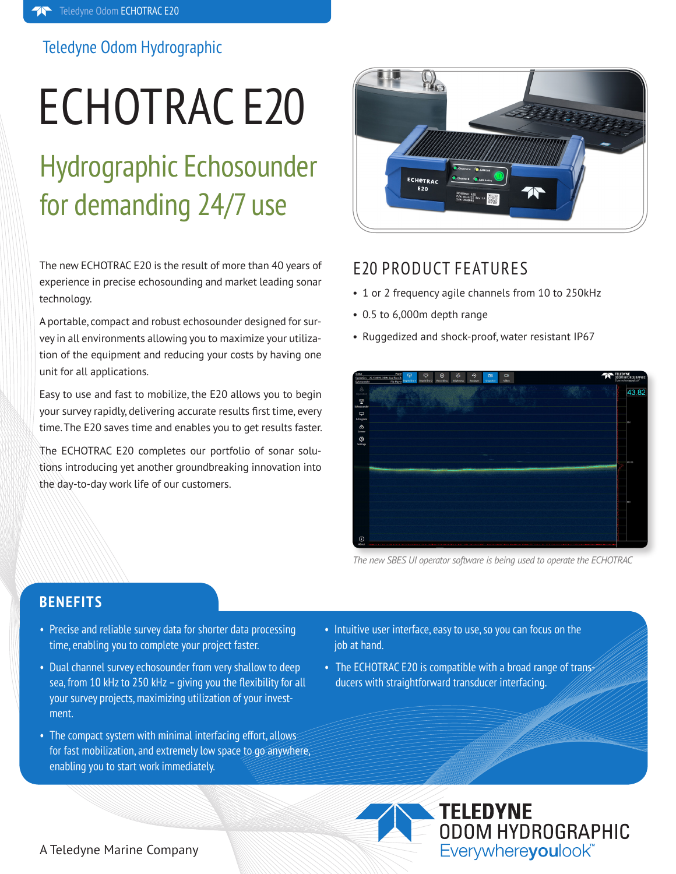# Teledyne Odom Hydrographic

# ECHOTRAC E20

# Hydrographic Echosounder for demanding 24/7 use

The new ECHOTRAC E20 is the result of more than 40 years of experience in precise echosounding and market leading sonar technology.

A portable, compact and robust echosounder designed for survey in all environments allowing you to maximize your utilization of the equipment and reducing your costs by having one unit for all applications.

Easy to use and fast to mobilize, the E20 allows you to begin your survey rapidly, delivering accurate results first time, every time. The E20 saves time and enables you to get results faster.

The ECHOTRAC E20 completes our portfolio of sonar solutions introducing yet another groundbreaking innovation into the day-to-day work life of our customers.



# E20 PRODUCT FEATURES

- 1 or 2 frequency agile channels from 10 to 250kHz
- 0.5 to 6,000m depth range
- Ruggedized and shock-proof, water resistant IP67



*The new SBES UI operator software is being used to operate the ECHOTRAC* 

# **BENEFITS**

- Precise and reliable survey data for shorter data processing time, enabling you to complete your project faster.
- Dual channel survey echosounder from very shallow to deep sea, from 10 kHz to 250 kHz – giving you the flexibility for all your survey projects, maximizing utilization of your investment.
- The compact system with minimal interfacing effort, allows for fast mobilization, and extremely low space to go anywhere, enabling you to start work immediately.
- Intuitive user interface, easy to use, so you can focus on the job at hand.
- The ECHOTRAC E20 is compatible with a broad range of transducers with straightforward transducer interfacing.



### A Teledyne Marine Company